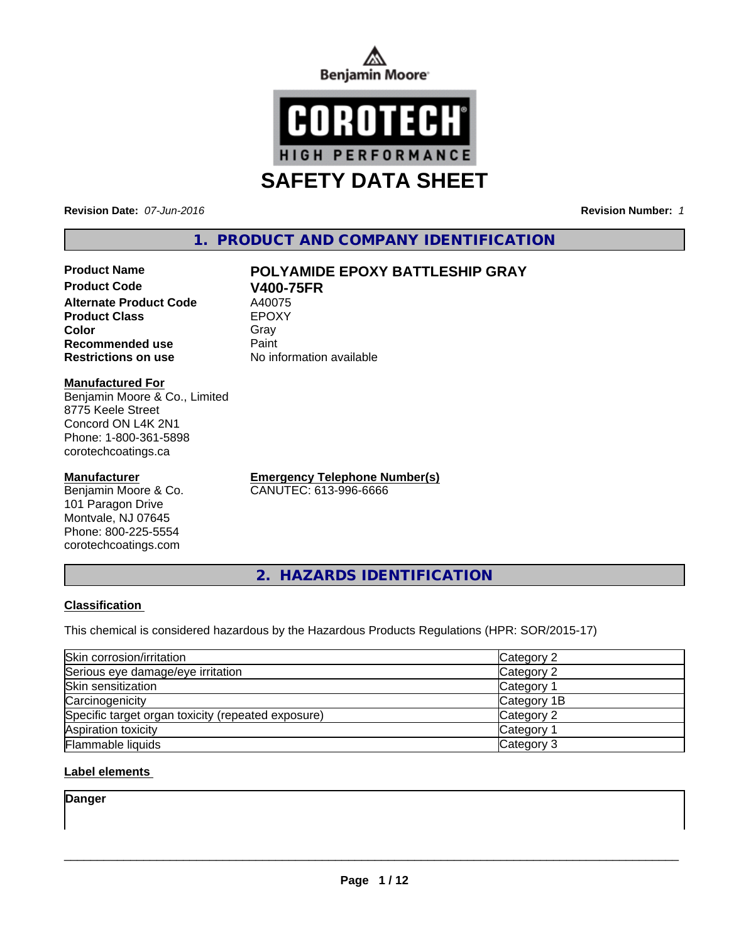



**Revision Date:** *07-Jun-2016* **Revision Number:** *1*

# **1. PRODUCT AND COMPANY IDENTIFICATION**

# **Product Name POLYAMIDE EPOXY BATTLESHIP GRAY**

**Product Code V400-75FR Alternate Product Code** A40075<br> **Product Class** EPOXY **Product Class Color** Gray Gray **Recommended use Paint Restrictions on use** No information available

#### **Manufactured For**

Benjamin Moore & Co., Limited 8775 Keele Street Concord ON L4K 2N1 Phone: 1-800-361-5898 corotechcoatings.ca

#### **Manufacturer**

Benjamin Moore & Co. 101 Paragon Drive Montvale, NJ 07645 Phone: 800-225-5554 corotechcoatings.com

**Emergency Telephone Number(s)** CANUTEC: 613-996-6666

**2. HAZARDS IDENTIFICATION**

#### **Classification**

This chemical is considered hazardous by the Hazardous Products Regulations (HPR: SOR/2015-17)

| Skin corrosion/irritation                          | Category 2        |
|----------------------------------------------------|-------------------|
| Serious eye damage/eye irritation                  | Category 2        |
| Skin sensitization                                 | <b>Category 1</b> |
| Carcinogenicity                                    | Category 1B       |
| Specific target organ toxicity (repeated exposure) | Category 2        |
| Aspiration toxicity                                | Category 1        |
| <b>Flammable liquids</b>                           | Category 3        |

#### **Label elements**

**Danger**

 $\overline{\phantom{a}}$  ,  $\overline{\phantom{a}}$  ,  $\overline{\phantom{a}}$  ,  $\overline{\phantom{a}}$  ,  $\overline{\phantom{a}}$  ,  $\overline{\phantom{a}}$  ,  $\overline{\phantom{a}}$  ,  $\overline{\phantom{a}}$  ,  $\overline{\phantom{a}}$  ,  $\overline{\phantom{a}}$  ,  $\overline{\phantom{a}}$  ,  $\overline{\phantom{a}}$  ,  $\overline{\phantom{a}}$  ,  $\overline{\phantom{a}}$  ,  $\overline{\phantom{a}}$  ,  $\overline{\phantom{a}}$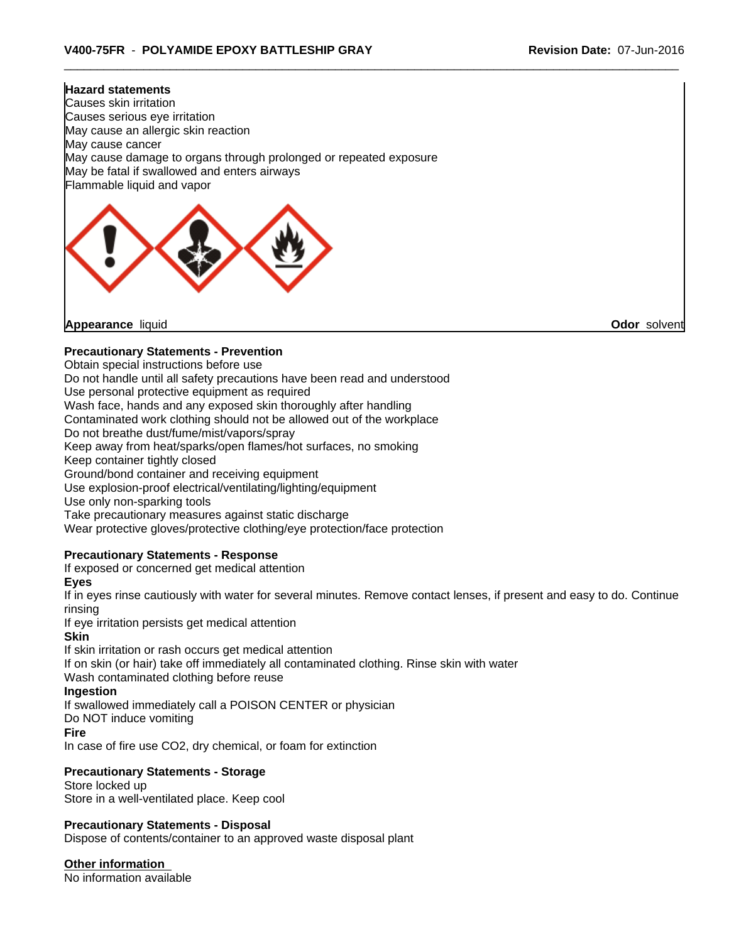# **Hazard statements** Causes skin irritation Causes serious eye irritation May cause an allergic skin reaction May cause cancer May cause damage to organs through prolonged or repeated exposure May be fatal if swallowed and enters airways Flammable liquid and vapor

**Appearance** liquid **Odor** solvent

#### **Precautionary Statements - Prevention**

Obtain special instructions before use

Do not handle until all safety precautions have been read and understood

Use personal protective equipment as required

Wash face, hands and any exposed skin thoroughly after handling

Contaminated work clothing should not be allowed out of the workplace

Do not breathe dust/fume/mist/vapors/spray

Keep away from heat/sparks/open flames/hot surfaces, no smoking

Keep container tightly closed

Ground/bond container and receiving equipment

Use explosion-proof electrical/ventilating/lighting/equipment

Use only non-sparking tools

Take precautionary measures against static discharge

Wear protective gloves/protective clothing/eye protection/face protection

#### **Precautionary Statements - Response**

If exposed or concerned get medical attention

**Eyes**

If in eyes rinse cautiously with water for several minutes. Remove contact lenses, if present and easy to do. Continue rinsing

If eye irritation persists get medical attention

#### **Skin**

If skin irritation or rash occurs get medical attention If on skin (or hair) take off immediately all contaminated clothing. Rinse skin with water Wash contaminated clothing before reuse

#### **Ingestion**

If swallowed immediately call a POISON CENTER or physician

Do NOT induce vomiting

#### **Fire**

In case of fire use CO2, dry chemical, or foam for extinction

#### **Precautionary Statements - Storage**

Store locked up Store in a well-ventilated place. Keep cool

#### **Precautionary Statements - Disposal**

Dispose of contents/container to an approved waste disposal plant

**Other information**

No information available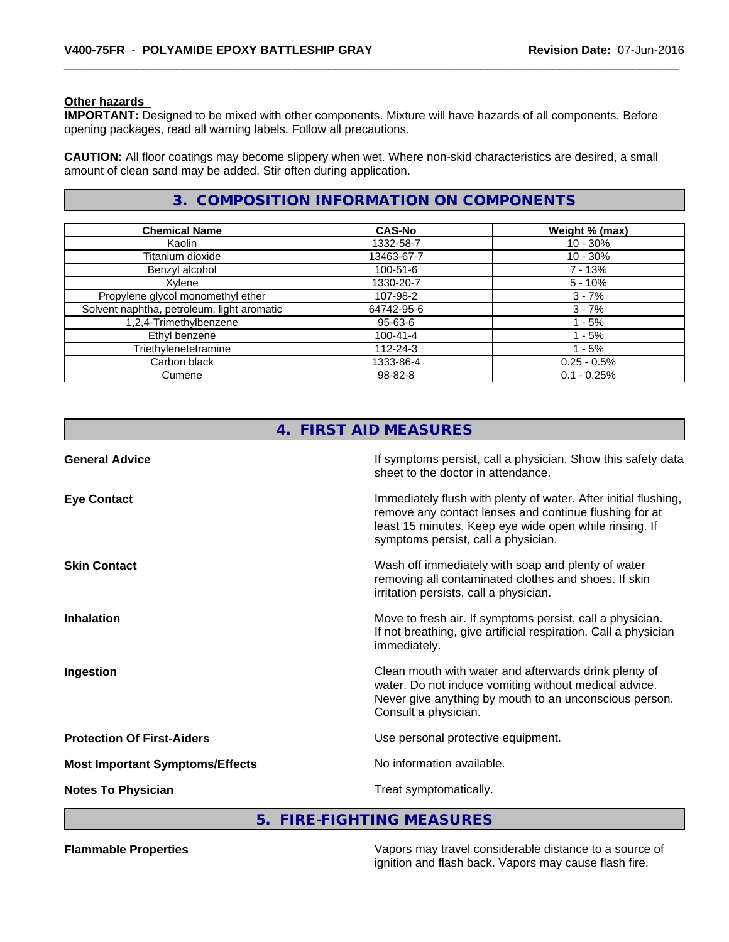#### **Other hazards**

**IMPORTANT:** Designed to be mixed with other components. Mixture will have hazards of all components. Before opening packages, read all warning labels. Follow all precautions.

**CAUTION:** All floor coatings may become slippery when wet. Where non-skid characteristics are desired, a small amount of clean sand may be added. Stir often during application.

### **3. COMPOSITION INFORMATION ON COMPONENTS**

| <b>Chemical Name</b>                       | <b>CAS-No</b>  | Weight % (max) |
|--------------------------------------------|----------------|----------------|
| Kaolin                                     | 1332-58-7      | $10 - 30\%$    |
| Titanium dioxide                           | 13463-67-7     | $10 - 30\%$    |
| Benzyl alcohol                             | $100 - 51 - 6$ | 7 - 13%        |
| Xylene                                     | 1330-20-7      | $5 - 10%$      |
| Propylene glycol monomethyl ether          | 107-98-2       | $3 - 7%$       |
| Solvent naphtha, petroleum, light aromatic | 64742-95-6     | $3 - 7%$       |
| 1,2,4-Trimethylbenzene                     | 95-63-6        | - 5%           |
| Ethyl benzene                              | $100 - 41 - 4$ | - 5%           |
| Triethylenetetramine                       | 112-24-3       | - 5%           |
| Carbon black                               | 1333-86-4      | $0.25 - 0.5%$  |
| Cumene                                     | 98-82-8        | $0.1 - 0.25%$  |

|                                        | 4. FIRST AID MEASURES                                                                                                                                                                                                      |
|----------------------------------------|----------------------------------------------------------------------------------------------------------------------------------------------------------------------------------------------------------------------------|
| <b>General Advice</b>                  | If symptoms persist, call a physician. Show this safety data<br>sheet to the doctor in attendance.                                                                                                                         |
| <b>Eye Contact</b>                     | Immediately flush with plenty of water. After initial flushing,<br>remove any contact lenses and continue flushing for at<br>least 15 minutes. Keep eye wide open while rinsing. If<br>symptoms persist, call a physician. |
| <b>Skin Contact</b>                    | Wash off immediately with soap and plenty of water<br>removing all contaminated clothes and shoes. If skin<br>irritation persists, call a physician.                                                                       |
| <b>Inhalation</b>                      | Move to fresh air. If symptoms persist, call a physician.<br>If not breathing, give artificial respiration. Call a physician<br>immediately.                                                                               |
| Ingestion                              | Clean mouth with water and afterwards drink plenty of<br>water. Do not induce vomiting without medical advice.<br>Never give anything by mouth to an unconscious person.<br>Consult a physician.                           |
| <b>Protection Of First-Aiders</b>      | Use personal protective equipment.                                                                                                                                                                                         |
| <b>Most Important Symptoms/Effects</b> | No information available.                                                                                                                                                                                                  |
| <b>Notes To Physician</b>              | Treat symptomatically.                                                                                                                                                                                                     |

#### **5. FIRE-FIGHTING MEASURES**

**Flammable Properties** Vapors may travel considerable distance to a source of ignition and flash back. Vapors may cause flash fire.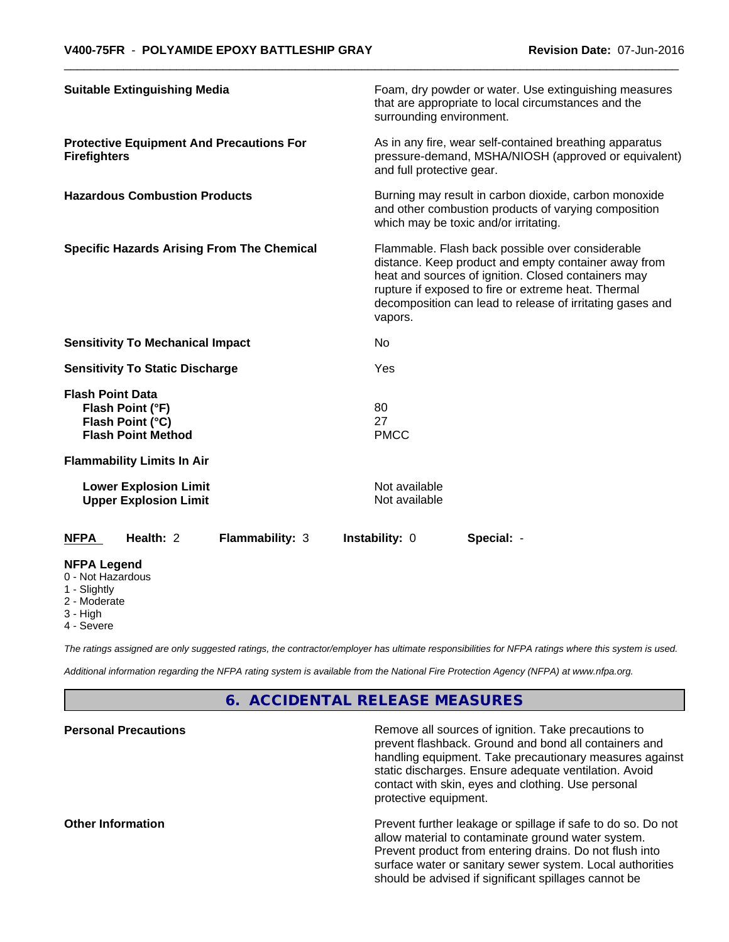|                                                                         | <b>Suitable Extinguishing Media</b>                               |                                                   | surrounding environment.       | Foam, dry powder or water. Use extinguishing measures<br>that are appropriate to local circumstances and the                                                                                                                                                                        |
|-------------------------------------------------------------------------|-------------------------------------------------------------------|---------------------------------------------------|--------------------------------|-------------------------------------------------------------------------------------------------------------------------------------------------------------------------------------------------------------------------------------------------------------------------------------|
| <b>Firefighters</b>                                                     | <b>Protective Equipment And Precautions For</b>                   |                                                   | and full protective gear.      | As in any fire, wear self-contained breathing apparatus<br>pressure-demand, MSHA/NIOSH (approved or equivalent)                                                                                                                                                                     |
|                                                                         | <b>Hazardous Combustion Products</b>                              |                                                   |                                | Burning may result in carbon dioxide, carbon monoxide<br>and other combustion products of varying composition<br>which may be toxic and/or irritating.                                                                                                                              |
|                                                                         |                                                                   | <b>Specific Hazards Arising From The Chemical</b> | vapors.                        | Flammable. Flash back possible over considerable<br>distance. Keep product and empty container away from<br>heat and sources of ignition. Closed containers may<br>rupture if exposed to fire or extreme heat. Thermal<br>decomposition can lead to release of irritating gases and |
|                                                                         | <b>Sensitivity To Mechanical Impact</b>                           |                                                   | No                             |                                                                                                                                                                                                                                                                                     |
|                                                                         | <b>Sensitivity To Static Discharge</b>                            |                                                   | Yes                            |                                                                                                                                                                                                                                                                                     |
| <b>Flash Point Data</b>                                                 | Flash Point (°F)<br>Flash Point (°C)<br><b>Flash Point Method</b> |                                                   | 80<br>27<br><b>PMCC</b>        |                                                                                                                                                                                                                                                                                     |
|                                                                         | <b>Flammability Limits In Air</b>                                 |                                                   |                                |                                                                                                                                                                                                                                                                                     |
|                                                                         | <b>Lower Explosion Limit</b><br><b>Upper Explosion Limit</b>      |                                                   | Not available<br>Not available |                                                                                                                                                                                                                                                                                     |
| <b>NFPA</b>                                                             | Health: 2                                                         | <b>Flammability: 3</b>                            | <b>Instability: 0</b>          | Special: -                                                                                                                                                                                                                                                                          |
| <b>NFPA Legend</b><br>0 - Not Hazardous<br>1 - Slightly<br>2 - Moderate |                                                                   |                                                   |                                |                                                                                                                                                                                                                                                                                     |

3 - High

4 - Severe

*The ratings assigned are only suggested ratings, the contractor/employer has ultimate responsibilities for NFPA ratings where this system is used.*

*Additional information regarding the NFPA rating system is available from the National Fire Protection Agency (NFPA) at www.nfpa.org.*

### **6. ACCIDENTAL RELEASE MEASURES**

| <b>Personal Precautions</b> | Remove all sources of ignition. Take precautions to<br>prevent flashback. Ground and bond all containers and<br>handling equipment. Take precautionary measures against<br>static discharges. Ensure adequate ventilation. Avoid<br>contact with skin, eyes and clothing. Use personal<br>protective equipment. |
|-----------------------------|-----------------------------------------------------------------------------------------------------------------------------------------------------------------------------------------------------------------------------------------------------------------------------------------------------------------|
| <b>Other Information</b>    | Prevent further leakage or spillage if safe to do so. Do not<br>allow material to contaminate ground water system.<br>Prevent product from entering drains. Do not flush into<br>surface water or sanitary sewer system. Local authorities<br>should be advised if significant spillages cannot be              |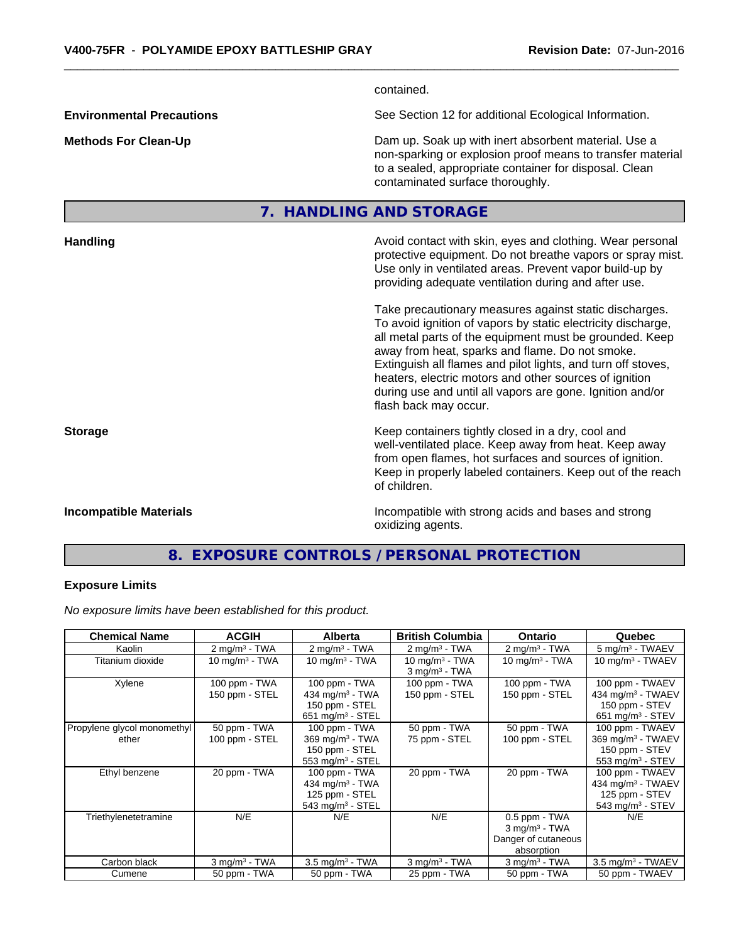contained.

**Environmental Precautions** See Section 12 for additional Ecological Information.

**Methods For Clean-Up Dam up. Soak up with inert absorbent material. Use a** Dam up. Soak up with inert absorbent material. Use a non-sparking or explosion proof means to transfer material to a sealed, appropriate container for disposal. Clean contaminated surface thoroughly.

## **7. HANDLING AND STORAGE**

| <b>Handling</b>               | Avoid contact with skin, eyes and clothing. Wear personal<br>protective equipment. Do not breathe vapors or spray mist.<br>Use only in ventilated areas. Prevent vapor build-up by<br>providing adequate ventilation during and after use.                                                                                                                                                                                                           |
|-------------------------------|------------------------------------------------------------------------------------------------------------------------------------------------------------------------------------------------------------------------------------------------------------------------------------------------------------------------------------------------------------------------------------------------------------------------------------------------------|
|                               | Take precautionary measures against static discharges.<br>To avoid ignition of vapors by static electricity discharge,<br>all metal parts of the equipment must be grounded. Keep<br>away from heat, sparks and flame. Do not smoke.<br>Extinguish all flames and pilot lights, and turn off stoves,<br>heaters, electric motors and other sources of ignition<br>during use and until all vapors are gone. Ignition and/or<br>flash back may occur. |
| <b>Storage</b>                | Keep containers tightly closed in a dry, cool and<br>well-ventilated place. Keep away from heat. Keep away<br>from open flames, hot surfaces and sources of ignition.<br>Keep in properly labeled containers. Keep out of the reach<br>of children.                                                                                                                                                                                                  |
| <b>Incompatible Materials</b> | Incompatible with strong acids and bases and strong<br>oxidizing agents.                                                                                                                                                                                                                                                                                                                                                                             |

# **8. EXPOSURE CONTROLS / PERSONAL PROTECTION**

#### **Exposure Limits**

*No exposure limits have been established for this product.*

| <b>Chemical Name</b>                 | <b>ACGIH</b>                    | <b>Alberta</b>                                                                                   | <b>British Columbia</b>                         | <b>Ontario</b>                                                                    | Quebec                                                                                                 |
|--------------------------------------|---------------------------------|--------------------------------------------------------------------------------------------------|-------------------------------------------------|-----------------------------------------------------------------------------------|--------------------------------------------------------------------------------------------------------|
| Kaolin                               | $2 \text{ mg/m}^3$ - TWA        | $2 \text{ mg/m}^3$ - TWA                                                                         | $2 \text{ mg/m}^3$ - TWA                        | $2 \text{ mg/m}^3$ - TWA                                                          | $5 \text{ mg/m}^3$ - TWAEV                                                                             |
| Titanium dioxide                     | $10 \text{ mg/m}^3$ - TWA       | 10 mg/m $3 - TWA$                                                                                | $10 \text{ mg/m}^3$ - TWA<br>$3$ mg/m $3$ - TWA | 10 mg/m $3$ - TWA                                                                 | 10 mg/m $3$ - TWAEV                                                                                    |
| Xylene                               | 100 ppm - TWA<br>150 ppm - STEL | 100 ppm - TWA<br>434 mg/m <sup>3</sup> - TWA<br>150 ppm - STEL<br>$651$ mg/m <sup>3</sup> - STEL | 100 ppm - TWA<br>150 ppm - STEL                 | 100 ppm - TWA<br>150 ppm - STEL                                                   | 100 ppm - TWAEV<br>434 mg/m <sup>3</sup> - TWAEV<br>150 ppm - STEV<br>$651$ mg/m <sup>3</sup> - STEV   |
| Propylene glycol monomethyl<br>ether | 50 ppm - TWA<br>100 ppm - STEL  | 100 ppm - TWA<br>369 mg/m <sup>3</sup> - TWA<br>150 ppm - STEL<br>$553$ mg/m <sup>3</sup> - STEL | 50 ppm - TWA<br>75 ppm - STEL                   | 50 ppm - TWA<br>100 ppm - STEL                                                    | 100 ppm - TWAEV<br>$369$ mg/m <sup>3</sup> - TWAEV<br>150 ppm - STEV<br>$553$ mg/m <sup>3</sup> - STEV |
| Ethyl benzene                        | 20 ppm - TWA                    | 100 ppm - TWA<br>434 mg/m $3$ - TWA<br>125 ppm - STEL<br>$543$ mg/m <sup>3</sup> - STEL          | 20 ppm - TWA                                    | 20 ppm - TWA                                                                      | 100 ppm - TWAEV<br>434 mg/m <sup>3</sup> - TWAEV<br>125 ppm - STEV<br>$543$ mg/m <sup>3</sup> - STEV   |
| Triethylenetetramine                 | N/E                             | N/E                                                                                              | N/E                                             | 0.5 ppm - TWA<br>$3$ mg/m <sup>3</sup> - TWA<br>Danger of cutaneous<br>absorption | N/E                                                                                                    |
| Carbon black                         | $3$ mg/m $3$ - TWA              | $3.5 \text{ mg/m}^3$ - TWA                                                                       | $3$ mg/m <sup>3</sup> - TWA                     | $3$ mg/m <sup>3</sup> - TWA                                                       | $3.5$ mg/m <sup>3</sup> - TWAEV                                                                        |
| Cumene                               | 50 ppm - TWA                    | 50 ppm - TWA                                                                                     | 25 ppm - TWA                                    | 50 ppm - TWA                                                                      | 50 ppm - TWAEV                                                                                         |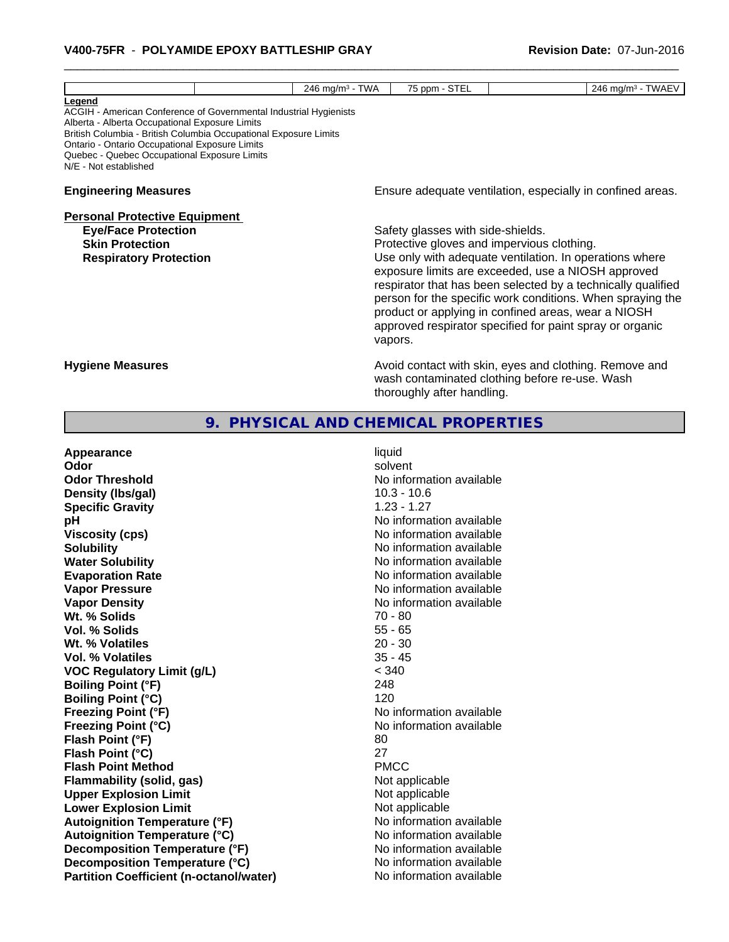| 75 ppm - STEL<br>Legend<br>ACGIH - American Conference of Governmental Industrial Hygienists<br>Alberta - Alberta Occupational Exposure Limits<br>British Columbia - British Columbia Occupational Exposure Limits<br>Ontario - Ontario Occupational Exposure Limits<br>Quebec - Quebec Occupational Exposure Limits<br>N/E - Not established<br>Ensure adequate ventilation, especially in confined areas.<br><b>Engineering Measures</b><br><b>Personal Protective Equipment</b><br>Safety glasses with side-shields.<br><b>Eye/Face Protection</b><br>Protective gloves and impervious clothing.<br><b>Skin Protection</b><br>Use only with adequate ventilation. In operations where<br><b>Respiratory Protection</b><br>exposure limits are exceeded, use a NIOSH approved<br>respirator that has been selected by a technically qualified<br>person for the specific work conditions. When spraying the |
|---------------------------------------------------------------------------------------------------------------------------------------------------------------------------------------------------------------------------------------------------------------------------------------------------------------------------------------------------------------------------------------------------------------------------------------------------------------------------------------------------------------------------------------------------------------------------------------------------------------------------------------------------------------------------------------------------------------------------------------------------------------------------------------------------------------------------------------------------------------------------------------------------------------|
|                                                                                                                                                                                                                                                                                                                                                                                                                                                                                                                                                                                                                                                                                                                                                                                                                                                                                                               |
|                                                                                                                                                                                                                                                                                                                                                                                                                                                                                                                                                                                                                                                                                                                                                                                                                                                                                                               |
| product or applying in confined areas, wear a NIOSH<br>approved respirator specified for paint spray or organic<br>vapors.                                                                                                                                                                                                                                                                                                                                                                                                                                                                                                                                                                                                                                                                                                                                                                                    |
| Avoid contact with skin, eyes and clothing. Remove and<br><b>Hygiene Measures</b><br>wash contaminated clothing before re-use. Wash<br>thoroughly after handling.                                                                                                                                                                                                                                                                                                                                                                                                                                                                                                                                                                                                                                                                                                                                             |

| Appearance                                     | liquid                   |
|------------------------------------------------|--------------------------|
| Odor                                           | solvent                  |
| <b>Odor Threshold</b>                          | No information available |
| Density (Ibs/gal)                              | $10.3 - 10.6$            |
| <b>Specific Gravity</b>                        | $1.23 - 1.27$            |
| рH                                             | No information available |
| <b>Viscosity (cps)</b>                         | No information available |
| <b>Solubility</b>                              | No information available |
| <b>Water Solubility</b>                        | No information available |
| <b>Evaporation Rate</b>                        | No information available |
| <b>Vapor Pressure</b>                          | No information available |
| <b>Vapor Density</b>                           | No information available |
| Wt. % Solids                                   | $70 - 80$                |
| <b>Vol. % Solids</b>                           | $55 - 65$                |
| Wt. % Volatiles                                | $20 - 30$                |
| <b>Vol. % Volatiles</b>                        | $35 - 45$                |
| <b>VOC Regulatory Limit (g/L)</b>              | < 340                    |
| <b>Boiling Point (°F)</b>                      | 248                      |
| <b>Boiling Point (°C)</b>                      | 120                      |
| <b>Freezing Point (°F)</b>                     | No information available |
| <b>Freezing Point (°C)</b>                     | No information available |
| Flash Point (°F)                               | 80                       |
| Flash Point (°C)                               | 27                       |
| <b>Flash Point Method</b>                      | <b>PMCC</b>              |
| <b>Flammability (solid, gas)</b>               | Not applicable           |
| <b>Upper Explosion Limit</b>                   | Not applicable           |
| <b>Lower Explosion Limit</b>                   | Not applicable           |
| <b>Autoignition Temperature (°F)</b>           | No information available |
| <b>Autoignition Temperature (°C)</b>           | No information available |
| Decomposition Temperature (°F)                 | No information available |
| Decomposition Temperature (°C)                 | No information available |
| <b>Partition Coefficient (n-octanol/water)</b> | No information available |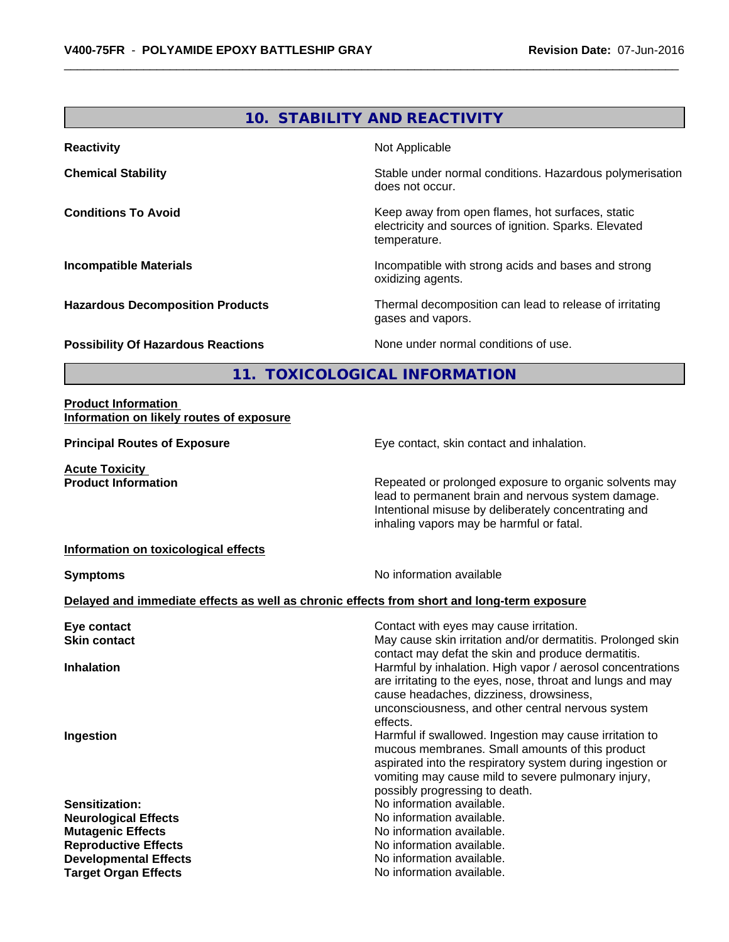# **10. STABILITY AND REACTIVITY Reactivity Not Applicable Not Applicable Chemical Stability Stability** Stable under normal conditions. Hazardous polymerisation does not occur. **Conditions To Avoid Keep away from open flames, hot surfaces, static Conditions To Avoid** electricity and sources of ignition. Sparks. Elevated temperature. **Incompatible Materials Incompatible with strong acids and bases and strong** oxidizing agents. **Hazardous Decomposition Products** Thermal decomposition can lead to release of irritating gases and vapors. **Possibility Of Hazardous Reactions** None under normal conditions of use. **11. TOXICOLOGICAL INFORMATION Product Information Information on likely routes of exposure Principal Routes of Exposure Exposure** Eye contact, skin contact and inhalation.

**Acute Toxicity** 

**Product Information Repeated or prolonged exposure to organic solvents may** lead to permanent brain and nervous system damage. Intentional misuse by deliberately concentrating and inhaling vapors may be harmful or fatal.

#### **Information on toxicological effects**

**Symptoms** No information available

#### **Delayed and immediate effects as well as chronic effects from short and long-term exposure**

| Eye contact                  | Contact with eyes may cause irritation.                     |
|------------------------------|-------------------------------------------------------------|
| <b>Skin contact</b>          | May cause skin irritation and/or dermatitis. Prolonged skin |
|                              | contact may defat the skin and produce dermatitis.          |
| <b>Inhalation</b>            | Harmful by inhalation. High vapor / aerosol concentrations  |
|                              | are irritating to the eyes, nose, throat and lungs and may  |
|                              | cause headaches, dizziness, drowsiness,                     |
|                              | unconsciousness, and other central nervous system           |
|                              | effects.                                                    |
| Ingestion                    | Harmful if swallowed. Ingestion may cause irritation to     |
|                              | mucous membranes. Small amounts of this product             |
|                              | aspirated into the respiratory system during ingestion or   |
|                              | vomiting may cause mild to severe pulmonary injury,         |
|                              | possibly progressing to death.                              |
| <b>Sensitization:</b>        | No information available.                                   |
| <b>Neurological Effects</b>  | No information available.                                   |
| <b>Mutagenic Effects</b>     | No information available.                                   |
| <b>Reproductive Effects</b>  | No information available.                                   |
| <b>Developmental Effects</b> | No information available.                                   |
| <b>Target Organ Effects</b>  | No information available.                                   |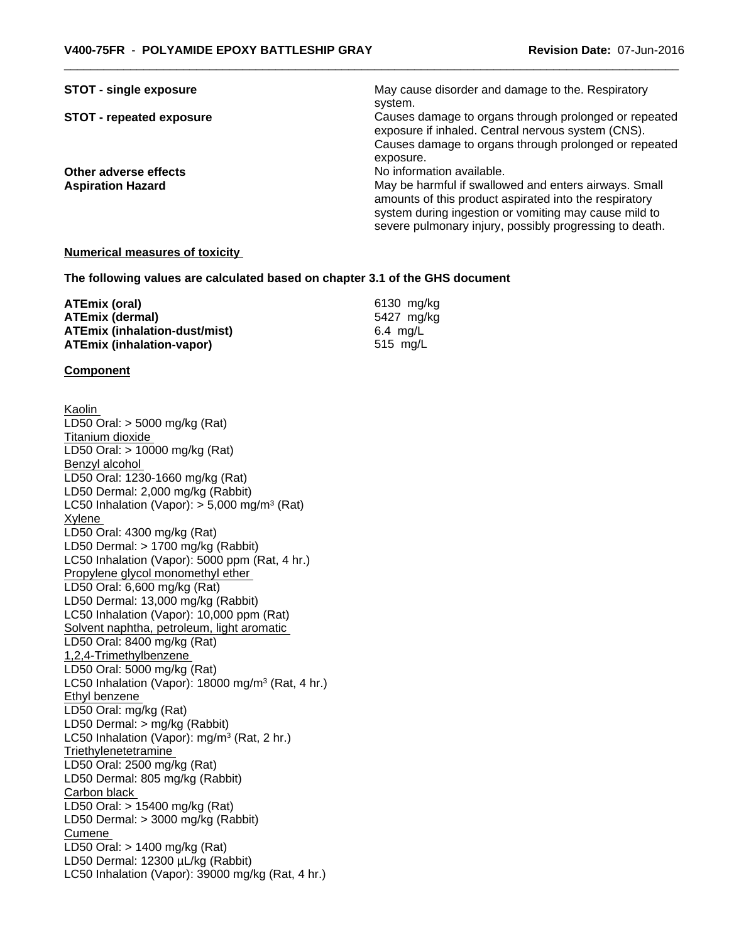| <b>STOT - single exposure</b>   | May cause disorder and damage to the. Respiratory       |
|---------------------------------|---------------------------------------------------------|
|                                 | system.                                                 |
| <b>STOT - repeated exposure</b> | Causes damage to organs through prolonged or repeated   |
|                                 | exposure if inhaled. Central nervous system (CNS).      |
|                                 | Causes damage to organs through prolonged or repeated   |
|                                 | exposure.                                               |
| Other adverse effects           | No information available.                               |
| <b>Aspiration Hazard</b>        | May be harmful if swallowed and enters airways. Small   |
|                                 | amounts of this product aspirated into the respiratory  |
|                                 | system during ingestion or vomiting may cause mild to   |
|                                 | severe pulmonary injury, possibly progressing to death. |

#### **Numerical measures of toxicity**

**The following values are calculated based on chapter 3.1 of the GHS document**

| ATEmix (oral)                        | 6130 mg/ka |
|--------------------------------------|------------|
| <b>ATEmix (dermal)</b>               | 5427 ma/ka |
| <b>ATEmix (inhalation-dust/mist)</b> | 6.4 ma/L   |
| ATEmix (inhalation-vapor)            | 515 ma/L   |

#### **Component**

Kaolin LD50 Oral: > 5000 mg/kg (Rat) Titanium dioxide LD50 Oral: > 10000 mg/kg (Rat) Benzyl alcohol LD50 Oral: 1230-1660 mg/kg (Rat) LD50 Dermal: 2,000 mg/kg (Rabbit) LC50 Inhalation (Vapor): > 5,000 mg/m<sup>3</sup> (Rat) Xylene LD50 Oral: 4300 mg/kg (Rat) LD50 Dermal: > 1700 mg/kg (Rabbit) LC50 Inhalation (Vapor): 5000 ppm (Rat, 4 hr.) Propylene glycol monomethyl ether LD50 Oral: 6,600 mg/kg (Rat) LD50 Dermal: 13,000 mg/kg (Rabbit) LC50 Inhalation (Vapor): 10,000 ppm (Rat) Solvent naphtha, petroleum, light aromatic LD50 Oral: 8400 mg/kg (Rat) 1,2,4-Trimethylbenzene LD50 Oral: 5000 mg/kg (Rat) LC50 Inhalation (Vapor): 18000 mg/m<sup>3</sup> (Rat, 4 hr.) Ethyl benzene LD50 Oral: mg/kg (Rat) LD50 Dermal: > mg/kg (Rabbit) LC50 Inhalation (Vapor): mg/m<sup>3</sup> (Rat, 2 hr.) **Triethylenetetramine** LD50 Oral: 2500 mg/kg (Rat) LD50 Dermal: 805 mg/kg (Rabbit) Carbon black LD50 Oral: > 15400 mg/kg (Rat) LD50 Dermal: > 3000 mg/kg (Rabbit) Cumene LD50 Oral: > 1400 mg/kg (Rat) LD50 Dermal: 12300 µL/kg (Rabbit) LC50 Inhalation (Vapor): 39000 mg/kg (Rat, 4 hr.)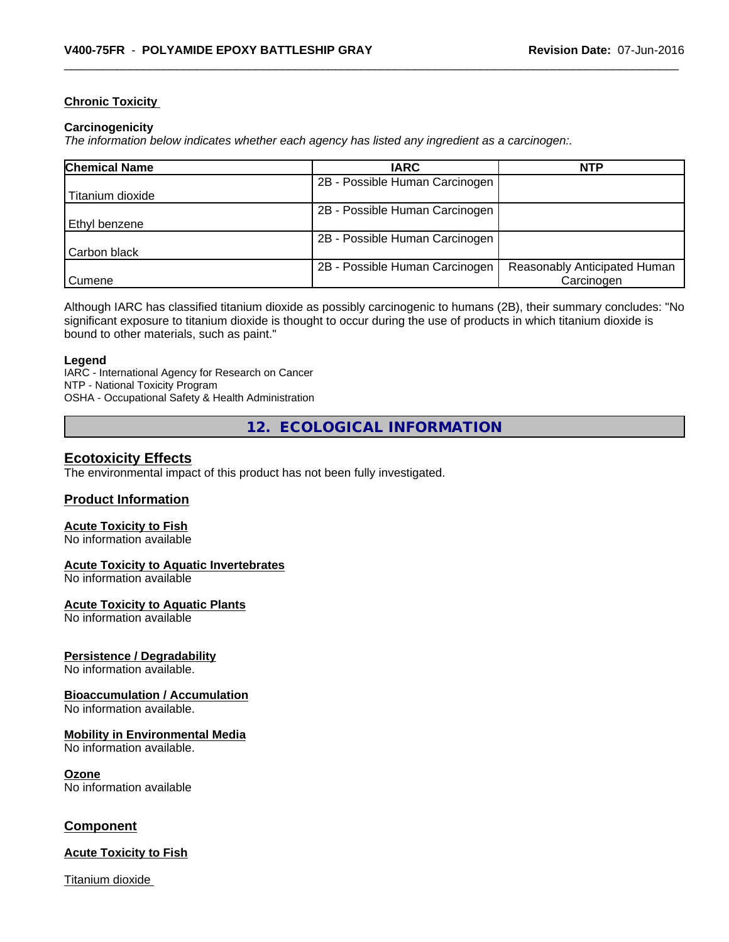#### **Chronic Toxicity**

#### **Carcinogenicity**

*The information below indicateswhether each agency has listed any ingredient as a carcinogen:.*

| <b>Chemical Name</b> | <b>IARC</b>                    | <b>NTP</b>                   |
|----------------------|--------------------------------|------------------------------|
|                      | 2B - Possible Human Carcinogen |                              |
| Titanium dioxide     |                                |                              |
|                      | 2B - Possible Human Carcinogen |                              |
| Ethyl benzene        |                                |                              |
|                      | 2B - Possible Human Carcinogen |                              |
| Carbon black         |                                |                              |
|                      | 2B - Possible Human Carcinogen | Reasonably Anticipated Human |
| Cumene               |                                | Carcinogen                   |

Although IARC has classified titanium dioxide as possibly carcinogenic to humans (2B), their summary concludes: "No significant exposure to titanium dioxide is thought to occur during the use of products in which titanium dioxide is bound to other materials, such as paint."

#### **Legend**

IARC - International Agency for Research on Cancer NTP - National Toxicity Program OSHA - Occupational Safety & Health Administration

**12. ECOLOGICAL INFORMATION**

#### **Ecotoxicity Effects**

The environmental impact of this product has not been fully investigated.

#### **Product Information**

#### **Acute Toxicity to Fish**

No information available

#### **Acute Toxicity to Aquatic Invertebrates**

No information available

#### **Acute Toxicity to Aquatic Plants**

No information available

#### **Persistence / Degradability**

No information available.

#### **Bioaccumulation / Accumulation**

No information available.

#### **Mobility in Environmental Media**

No information available.

#### **Ozone**

No information available

#### **Component**

#### **Acute Toxicity to Fish**

Titanium dioxide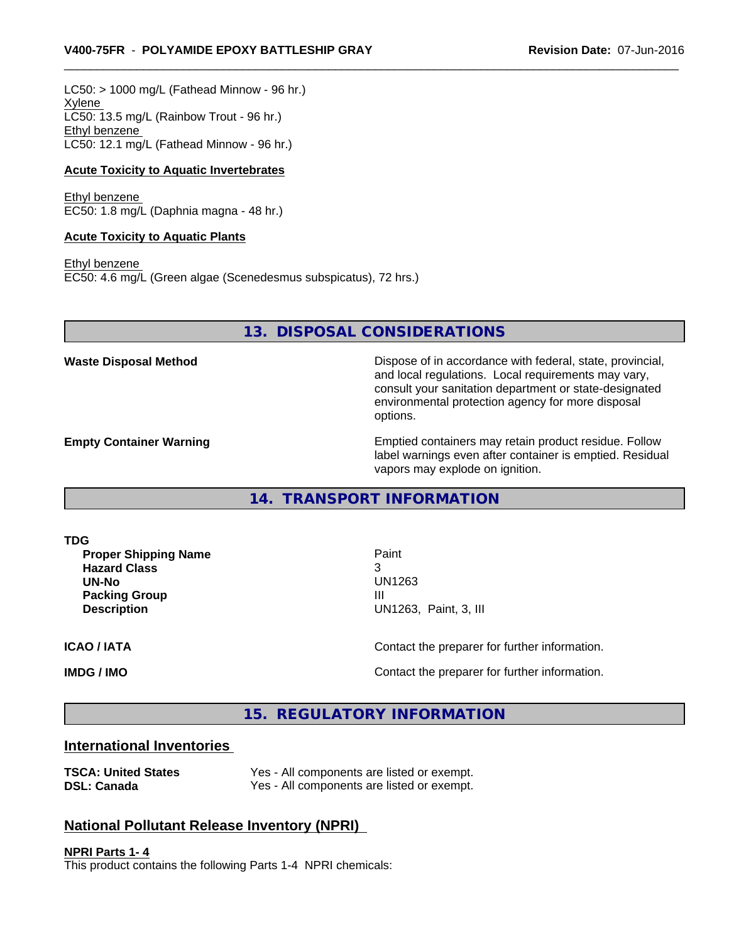$LC50:$  > 1000 mg/L (Fathead Minnow - 96 hr.) Xylene LC50: 13.5 mg/L (Rainbow Trout - 96 hr.) Ethyl benzene LC50: 12.1 mg/L (Fathead Minnow - 96 hr.)

#### **Acute Toxicity to Aquatic Invertebrates**

Ethyl benzene EC50: 1.8 mg/L (Daphnia magna - 48 hr.)

#### **Acute Toxicity to Aquatic Plants**

Ethyl benzene EC50: 4.6 mg/L (Green algae (Scenedesmus subspicatus), 72 hrs.)

**13. DISPOSAL CONSIDERATIONS**

**Waste Disposal Method Dispose of in accordance with federal, state, provincial,** and local regulations. Local requirements may vary, consult your sanitation department or state-designated environmental protection agency for more disposal options.

**Empty Container Warning <b>Emptied** Containers may retain product residue. Follow label warnings even after container is emptied. Residual vapors may explode on ignition.

**14. TRANSPORT INFORMATION**

**TDG**

**Proper Shipping Name Paint Hazard Class** 3 **UN-No** UN1263 **Packing Group III Description** UN1263, Paint, 3, III

**ICAO / IATA ICAO / IATA Contact the preparer for further information.** 

**IMDG / IMO IMO Contact the preparer for further information.** 

**15. REGULATORY INFORMATION**

#### **International Inventories**

| <b>TSCA: United States</b> | Yes - All components are listed or exempt. |
|----------------------------|--------------------------------------------|
| <b>DSL: Canada</b>         | Yes - All components are listed or exempt. |

#### **National Pollutant Release Inventory (NPRI)**

**NPRI Parts 1- 4** This product contains the following Parts 1-4 NPRI chemicals: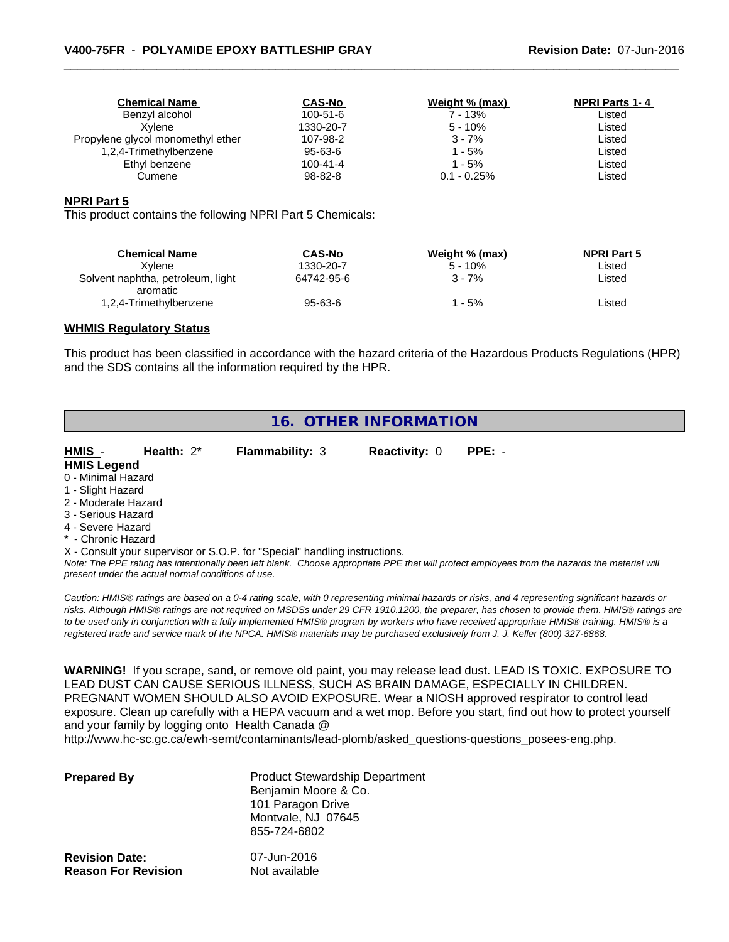| <b>Chemical Name</b>              | <b>CAS-No</b>  | Weight % (max) | <b>NPRI Parts 1-4</b> |
|-----------------------------------|----------------|----------------|-----------------------|
| Benzyl alcohol                    | $100 - 51 - 6$ | 7 - 13%        | Listed                |
| Xvlene                            | 1330-20-7      | $5 - 10%$      | Listed                |
| Propylene glycol monomethyl ether | 107-98-2       | $3 - 7%$       | Listed                |
| 1,2,4-Trimethylbenzene            | 95-63-6        | $1 - 5%$       | Listed                |
| Ethyl benzene                     | $100 - 41 - 4$ | 1 - 5%         | Listed                |
| Cumene                            | 98-82-8        | $0.1 - 0.25\%$ | Listed                |
|                                   |                |                |                       |

#### **NPRI Part 5**

This product contains the following NPRI Part 5 Chemicals:

| <b>Chemical Name</b><br>Xvlene     | <b>CAS-No</b><br>1330-20-7 | Weight % (max)<br>$5 - 10%$ | <b>NPRI Part 5</b><br>∟isted |  |
|------------------------------------|----------------------------|-----------------------------|------------------------------|--|
| Solvent naphtha, petroleum, light  | 64742-95-6                 | 3 - 7%                      | Listed                       |  |
| aromatic<br>1,2,4-Trimethylbenzene | $95 - 63 - 6$              | - 5%                        | Listed                       |  |

#### **WHMIS Regulatory Status**

This product has been classified in accordance with the hazard criteria of the Hazardous Products Regulations (HPR) and the SDS contains all the information required by the HPR.

# **16. OTHER INFORMATION**

| HMIS -              | Health: $2^*$ | <b>Flammability: 3</b> | <b>Reactivity: 0</b> | $PPE: -$ |  |
|---------------------|---------------|------------------------|----------------------|----------|--|
| <b>HMIS Legend</b>  |               |                        |                      |          |  |
| 0 - Minimal Hazard  |               |                        |                      |          |  |
| 1 - Slight Hazard   |               |                        |                      |          |  |
| 2 - Moderate Hazard |               |                        |                      |          |  |
| 3 - Serious Hazard  |               |                        |                      |          |  |
| 4 - Severe Hazard   |               |                        |                      |          |  |
|                     |               |                        |                      |          |  |

\* - Chronic Hazard

X - Consult your supervisor or S.O.P. for "Special" handling instructions.

*Note: The PPE rating has intentionally been left blank. Choose appropriate PPE that will protect employees from the hazards the material will present under the actual normal conditions of use.*

*Caution: HMISÒ ratings are based on a 0-4 rating scale, with 0 representing minimal hazards or risks, and 4 representing significant hazards or risks. Although HMISÒ ratings are not required on MSDSs under 29 CFR 1910.1200, the preparer, has chosen to provide them. HMISÒ ratings are to be used only in conjunction with a fully implemented HMISÒ program by workers who have received appropriate HMISÒ training. HMISÒ is a registered trade and service mark of the NPCA. HMISÒ materials may be purchased exclusively from J. J. Keller (800) 327-6868.*

**WARNING!** If you scrape, sand, or remove old paint, you may release lead dust. LEAD IS TOXIC. EXPOSURE TO LEAD DUST CAN CAUSE SERIOUS ILLNESS, SUCH AS BRAIN DAMAGE, ESPECIALLY IN CHILDREN. PREGNANT WOMEN SHOULD ALSO AVOID EXPOSURE.Wear a NIOSH approved respirator to control lead exposure. Clean up carefully with a HEPA vacuum and a wet mop. Before you start, find out how to protect yourself and your family by logging onto Health Canada @

http://www.hc-sc.gc.ca/ewh-semt/contaminants/lead-plomb/asked\_questions-questions\_posees-eng.php.

| <b>Prepared By</b>         | <b>Product Stewardship Department</b><br>Benjamin Moore & Co.<br>101 Paragon Drive<br>Montvale, NJ 07645<br>855-724-6802 |
|----------------------------|--------------------------------------------------------------------------------------------------------------------------|
| <b>Revision Date:</b>      | 07-Jun-2016                                                                                                              |
| <b>Reason For Revision</b> | Not available                                                                                                            |